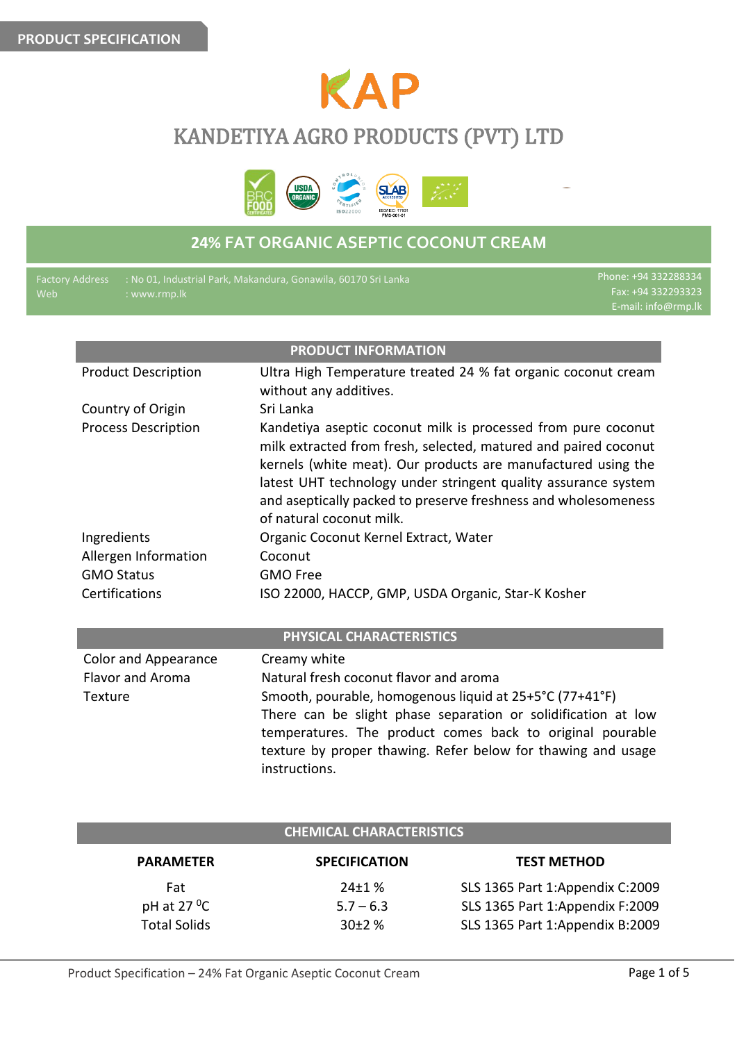

# KANDETIYA AGRO PRODUCTS (PVT) LTD



## **24% FAT ORGANIC ASEPTIC COCONUT CREAM**

| <b>Factory Address</b><br>Web | : www.rmp.lk                | : No 01, Industrial Park, Makandura, Gonawila, 60170 Sri Lanka                                                                                                                                                                                                                                                                                                    | Phone: +94 332288334<br>Fax: +94 332293323<br>E-mail: info@rmp.lk |
|-------------------------------|-----------------------------|-------------------------------------------------------------------------------------------------------------------------------------------------------------------------------------------------------------------------------------------------------------------------------------------------------------------------------------------------------------------|-------------------------------------------------------------------|
|                               |                             |                                                                                                                                                                                                                                                                                                                                                                   |                                                                   |
|                               |                             | <b>PRODUCT INFORMATION</b>                                                                                                                                                                                                                                                                                                                                        |                                                                   |
|                               | <b>Product Description</b>  | Ultra High Temperature treated 24 % fat organic coconut cream<br>without any additives.                                                                                                                                                                                                                                                                           |                                                                   |
|                               | Country of Origin           | Sri Lanka                                                                                                                                                                                                                                                                                                                                                         |                                                                   |
|                               | <b>Process Description</b>  | Kandetiya aseptic coconut milk is processed from pure coconut<br>milk extracted from fresh, selected, matured and paired coconut<br>kernels (white meat). Our products are manufactured using the<br>latest UHT technology under stringent quality assurance system<br>and aseptically packed to preserve freshness and wholesomeness<br>of natural coconut milk. |                                                                   |
|                               | Ingredients                 | Organic Coconut Kernel Extract, Water                                                                                                                                                                                                                                                                                                                             |                                                                   |
|                               | Allergen Information        | Coconut                                                                                                                                                                                                                                                                                                                                                           |                                                                   |
|                               | <b>GMO Status</b>           | <b>GMO Free</b>                                                                                                                                                                                                                                                                                                                                                   |                                                                   |
|                               | Certifications              | ISO 22000, HACCP, GMP, USDA Organic, Star-K Kosher                                                                                                                                                                                                                                                                                                                |                                                                   |
|                               |                             | PHYSICAL CHARACTERISTICS                                                                                                                                                                                                                                                                                                                                          |                                                                   |
|                               | <b>Color and Appearance</b> | Creamy white                                                                                                                                                                                                                                                                                                                                                      |                                                                   |
|                               | <b>Flavor and Aroma</b>     | Natural fresh coconut flavor and aroma                                                                                                                                                                                                                                                                                                                            |                                                                   |
|                               | Texture                     | Smooth, pourable, homogenous liquid at 25+5°C (77+41°F)<br>There can be slight phase separation or solidification at low<br>temperatures. The product comes back to original pourable<br>texture by proper thawing. Refer below for thawing and usage<br>instructions.                                                                                            |                                                                   |
|                               |                             | <b>CHEMICAL CHARACTERISTICS</b>                                                                                                                                                                                                                                                                                                                                   |                                                                   |

| <b>PARAMETER</b>        | <b>SPECIFICATION</b> | <b>TEST METHOD</b>              |
|-------------------------|----------------------|---------------------------------|
| Fat                     | $24 \pm 1 \%$        | SLS 1365 Part 1:Appendix C:2009 |
| pH at 27 $\mathrm{^0C}$ | $5.7 - 6.3$          | SLS 1365 Part 1:Appendix F:2009 |
| <b>Total Solids</b>     | $30+2%$              | SLS 1365 Part 1:Appendix B:2009 |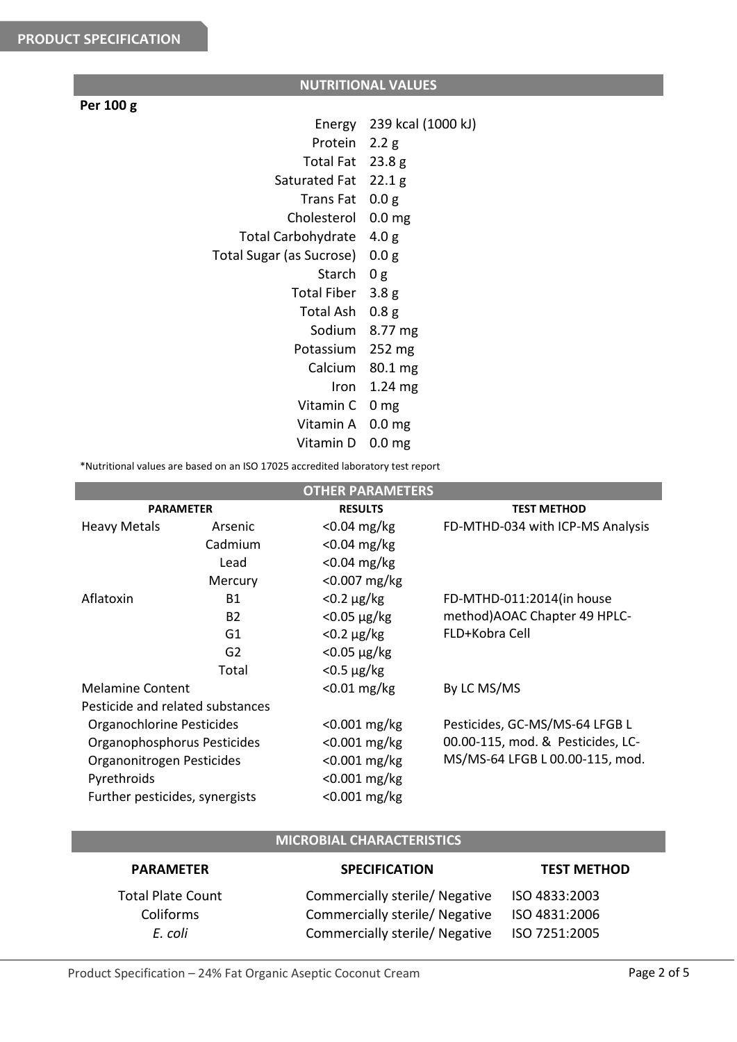## **NUTRITIONAL VALUES**

### **Per 100 g**

| Energy                    | 239 kcal (1000 kJ) |
|---------------------------|--------------------|
| Protein                   | 2.2 g              |
| Total Fat                 | 23.8g              |
| Saturated Fat             | 22.1 g             |
| Trans Fat                 | 0.0 g              |
| Cholesterol               | 0.0 <sub>mg</sub>  |
| <b>Total Carbohydrate</b> | 4.0 g              |
| Total Sugar (as Sucrose)  | 0.0 g              |
| Starch                    | 0 <sub>g</sub>     |
| <b>Total Fiber</b>        | 3.8 <sub>g</sub>   |
| Total Ash                 | 0.8 <sub>g</sub>   |
| Sodium                    | 8.77 mg            |
| Potassium                 | 252 mg             |
| Calcium                   | 80.1 mg            |
| Iron                      | $1.24 \text{ mg}$  |
| Vitamin C                 | 0 mg               |
| Vitamin A                 | 0.0 <sub>mg</sub>  |
| Vitamin D                 | 0.0 <sub>mg</sub>  |
|                           |                    |

\*Nutritional values are based on an ISO 17025 accredited laboratory test report

|                                  |                | <b>OTHER PARAMETERS</b> |                                   |
|----------------------------------|----------------|-------------------------|-----------------------------------|
| <b>PARAMETER</b>                 |                | <b>RESULTS</b>          | <b>TEST METHOD</b>                |
| <b>Heavy Metals</b>              | Arsenic        | $<$ 0.04 mg/kg          | FD-MTHD-034 with ICP-MS Analysis  |
|                                  | Cadmium        | $<$ 0.04 mg/kg          |                                   |
|                                  | Lead           | $< 0.04$ mg/kg          |                                   |
|                                  | Mercury        | $< 0.007$ mg/kg         |                                   |
| Aflatoxin                        | <b>B1</b>      | $<$ 0.2 $\mu$ g/kg      | FD-MTHD-011:2014(in house         |
|                                  | B <sub>2</sub> | $<$ 0.05 $\mu$ g/kg     | method) AOAC Chapter 49 HPLC-     |
|                                  | G1             | $<$ 0.2 $\mu$ g/kg      | FLD+Kobra Cell                    |
|                                  | G <sub>2</sub> | $<$ 0.05 $\mu$ g/kg     |                                   |
|                                  | Total          | $<$ 0.5 $\mu$ g/kg      |                                   |
| <b>Melamine Content</b>          |                | $< 0.01$ mg/kg          | By LC MS/MS                       |
| Pesticide and related substances |                |                         |                                   |
| Organochlorine Pesticides        |                | $< 0.001$ mg/kg         | Pesticides, GC-MS/MS-64 LFGB L    |
| Organophosphorus Pesticides      |                | $< 0.001$ mg/kg         | 00.00-115, mod. & Pesticides, LC- |
| Organonitrogen Pesticides        |                | $< 0.001$ mg/kg         | MS/MS-64 LFGB L 00.00-115, mod.   |
| Pyrethroids                      |                | $< 0.001$ mg/kg         |                                   |
| Further pesticides, synergists   |                | <0.001 mg/kg            |                                   |

## **MICROBIAL CHARACTERISTICS**

| <b>PARAMETER</b>         | <b>SPECIFICATION</b>                         | <b>TEST METHOD</b> |
|--------------------------|----------------------------------------------|--------------------|
| <b>Total Plate Count</b> | Commercially sterile/ Negative ISO 4833:2003 |                    |
| Coliforms                | Commercially sterile/ Negative               | ISO 4831:2006      |
| E. coli                  | Commercially sterile/ Negative               | ISO 7251:2005      |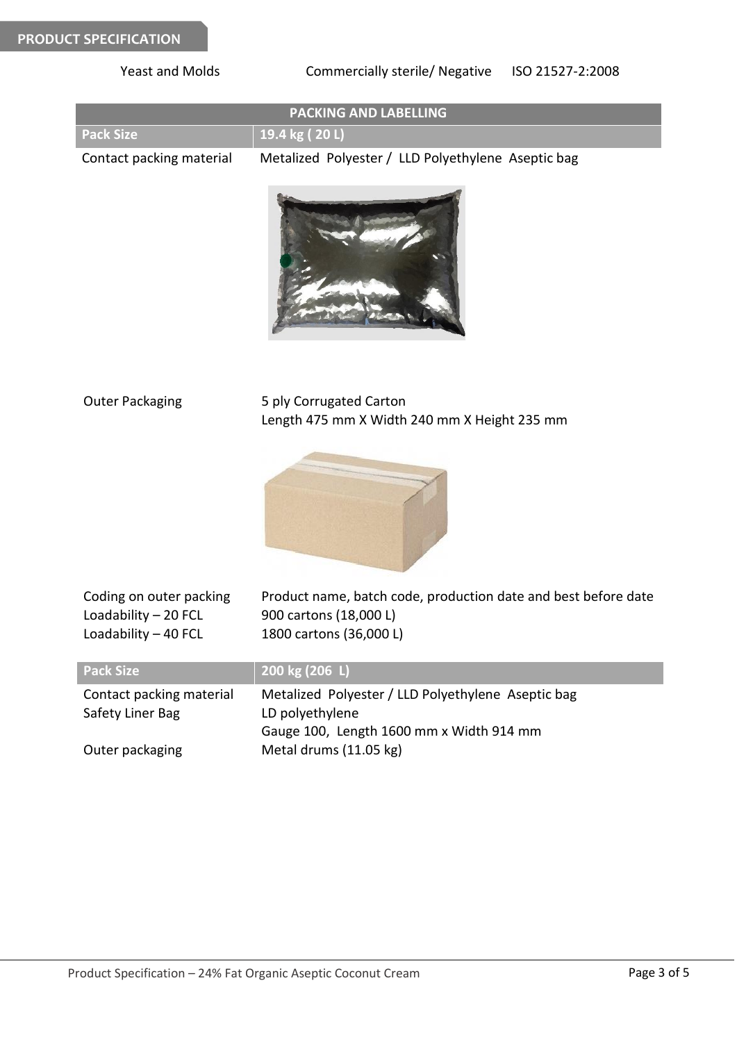| <b>Yeast and Molds</b>                                                   | Commercially sterile/ Negative<br>ISO 21527-2:2008                                                                                          |
|--------------------------------------------------------------------------|---------------------------------------------------------------------------------------------------------------------------------------------|
|                                                                          | <b>PACKING AND LABELLING</b>                                                                                                                |
| <b>Pack Size</b>                                                         | 19.4 kg (20 L)                                                                                                                              |
| Contact packing material                                                 | Metalized Polyester / LLD Polyethylene Aseptic bag                                                                                          |
|                                                                          |                                                                                                                                             |
| <b>Outer Packaging</b>                                                   | 5 ply Corrugated Carton<br>Length 475 mm X Width 240 mm X Height 235 mm                                                                     |
|                                                                          |                                                                                                                                             |
| Coding on outer packing<br>Loadability $-20$ FCL<br>Loadability - 40 FCL | Product name, batch code, production date and best before date<br>900 cartons (18,000 L)<br>1800 cartons (36,000 L)                         |
| <b>Pack Size</b>                                                         | 200 kg (206 L)                                                                                                                              |
| Contact packing material<br>Safety Liner Bag<br>Outer packaging          | Metalized Polyester / LLD Polyethylene Aseptic bag<br>LD polyethylene<br>Gauge 100, Length 1600 mm x Width 914 mm<br>Metal drums (11.05 kg) |
|                                                                          |                                                                                                                                             |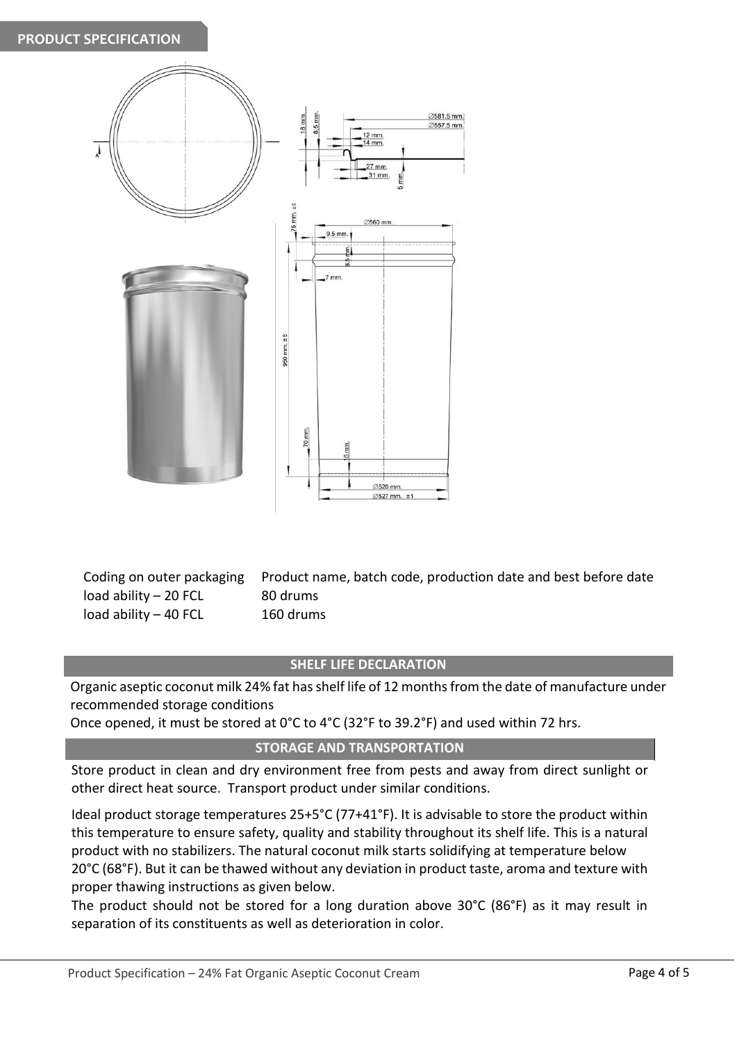

load ability – 20 FCL 80 drums load ability – 40 FCL 160 drums

Coding on outer packaging Product name, batch code, production date and best before date

#### **SHELF LIFE DECLARATION**

Organic aseptic coconut milk 24% fat has shelf life of 12 months from the date of manufacture under recommended storage conditions

Once opened, it must be stored at 0°C to 4°C (32°F to 39.2°F) and used within 72 hrs.

#### **STORAGE AND TRANSPORTATION**

Store product in clean and dry environment free from pests and away from direct sunlight or other direct heat source. Transport product under similar conditions.

Ideal product storage temperatures 25+5°C (77+41°F). It is advisable to store the product within this temperature to ensure safety, quality and stability throughout its shelf life. This is a natural product with no stabilizers. The natural coconut milk starts solidifying at temperature below 20°C (68°F). But it can be thawed without any deviation in product taste, aroma and texture with proper thawing instructions as given below.

The product should not be stored for a long duration above 30°C (86°F) as it may result in separation of its constituents as well as deterioration in color.